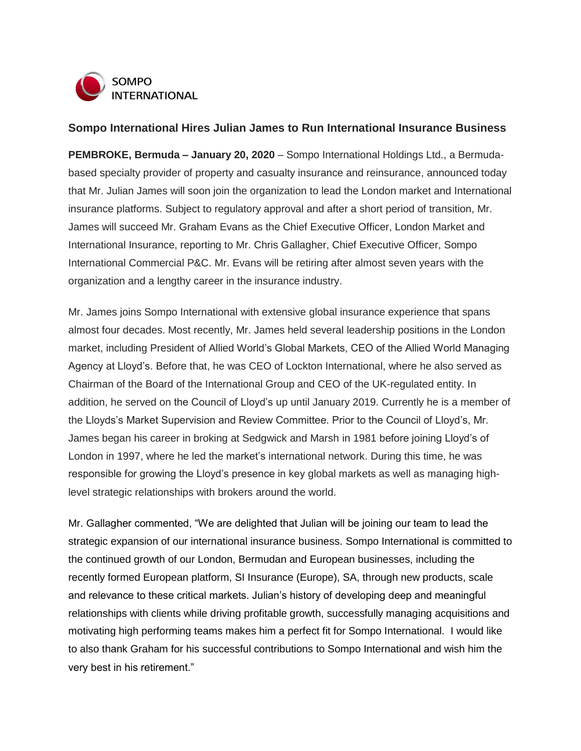

## **Sompo International Hires Julian James to Run International Insurance Business**

**PEMBROKE, Bermuda – January 20, 2020** – Sompo International Holdings Ltd., a Bermudabased specialty provider of property and casualty insurance and reinsurance, announced today that Mr. Julian James will soon join the organization to lead the London market and International insurance platforms. Subject to regulatory approval and after a short period of transition, Mr. James will succeed Mr. Graham Evans as the Chief Executive Officer, London Market and International Insurance, reporting to Mr. Chris Gallagher, Chief Executive Officer, Sompo International Commercial P&C. Mr. Evans will be retiring after almost seven years with the organization and a lengthy career in the insurance industry.

Mr. James joins Sompo International with extensive global insurance experience that spans almost four decades. Most recently, Mr. James held several leadership positions in the London market, including President of Allied World's Global Markets, CEO of the Allied World Managing Agency at Lloyd's. Before that, he was CEO of Lockton International, where he also served as Chairman of the Board of the International Group and CEO of the UK-regulated entity. In addition, he served on the Council of Lloyd's up until January 2019. Currently he is a member of the Lloyds's Market Supervision and Review Committee. Prior to the Council of Lloyd's, Mr. James began his career in broking at Sedgwick and Marsh in 1981 before joining Lloyd's of London in 1997, where he led the market's international network. During this time, he was responsible for growing the Lloyd's presence in key global markets as well as managing highlevel strategic relationships with brokers around the world.

Mr. Gallagher commented, "We are delighted that Julian will be joining our team to lead the strategic expansion of our international insurance business. Sompo International is committed to the continued growth of our London, Bermudan and European businesses, including the recently formed European platform, SI Insurance (Europe), SA, through new products, scale and relevance to these critical markets. Julian's history of developing deep and meaningful relationships with clients while driving profitable growth, successfully managing acquisitions and motivating high performing teams makes him a perfect fit for Sompo International. I would like to also thank Graham for his successful contributions to Sompo International and wish him the very best in his retirement."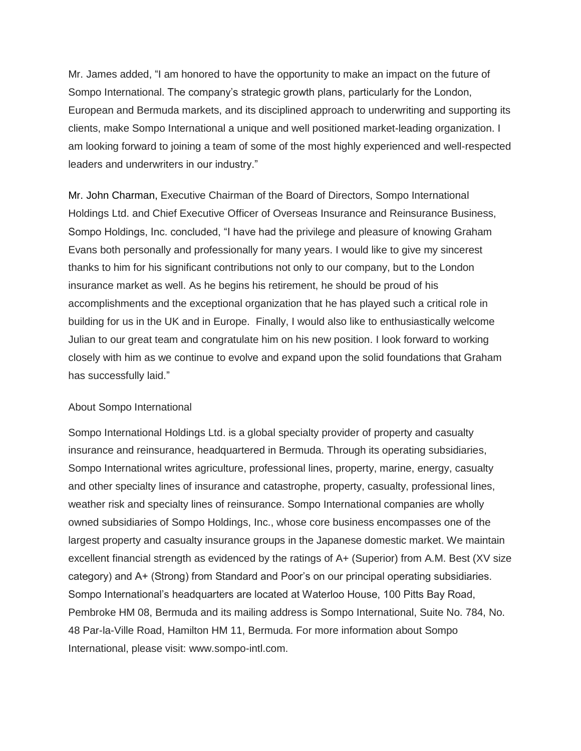Mr. James added, "I am honored to have the opportunity to make an impact on the future of Sompo International. The company's strategic growth plans, particularly for the London, European and Bermuda markets, and its disciplined approach to underwriting and supporting its clients, make Sompo International a unique and well positioned market-leading organization. I am looking forward to joining a team of some of the most highly experienced and well-respected leaders and underwriters in our industry."

Mr. John Charman, Executive Chairman of the Board of Directors, Sompo International Holdings Ltd. and Chief Executive Officer of Overseas Insurance and Reinsurance Business, Sompo Holdings, Inc. concluded, "I have had the privilege and pleasure of knowing Graham Evans both personally and professionally for many years. I would like to give my sincerest thanks to him for his significant contributions not only to our company, but to the London insurance market as well. As he begins his retirement, he should be proud of his accomplishments and the exceptional organization that he has played such a critical role in building for us in the UK and in Europe. Finally, I would also like to enthusiastically welcome Julian to our great team and congratulate him on his new position. I look forward to working closely with him as we continue to evolve and expand upon the solid foundations that Graham has successfully laid."

## About Sompo International

Sompo International Holdings Ltd. is a global specialty provider of property and casualty insurance and reinsurance, headquartered in Bermuda. Through its operating subsidiaries, Sompo International writes agriculture, professional lines, property, marine, energy, casualty and other specialty lines of insurance and catastrophe, property, casualty, professional lines, weather risk and specialty lines of reinsurance. Sompo International companies are wholly owned subsidiaries of Sompo Holdings, Inc., whose core business encompasses one of the largest property and casualty insurance groups in the Japanese domestic market. We maintain excellent financial strength as evidenced by the ratings of A+ (Superior) from A.M. Best (XV size category) and A+ (Strong) from Standard and Poor's on our principal operating subsidiaries. Sompo International's headquarters are located at Waterloo House, 100 Pitts Bay Road, Pembroke HM 08, Bermuda and its mailing address is Sompo International, Suite No. 784, No. 48 Par-la-Ville Road, Hamilton HM 11, Bermuda. For more information about Sompo International, please visit: [www.sompo-intl.com.](http://www.sompo-intl.com/)